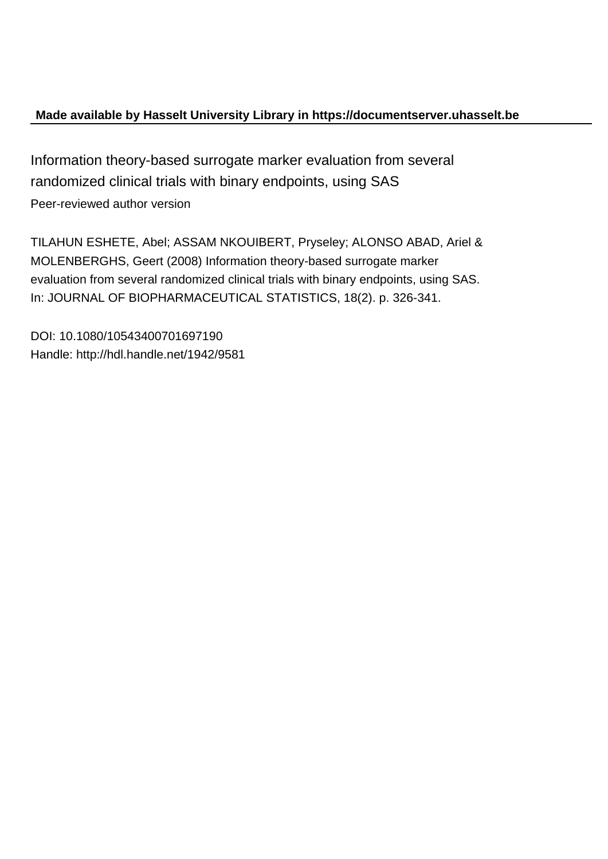# **Made available by Hasselt University Library in https://documentserver.uhasselt.be**

Information theory-based surrogate marker evaluation from several randomized clinical trials with binary endpoints, using SAS Peer-reviewed author version

TILAHUN ESHETE, Abel; ASSAM NKOUIBERT, Pryseley; ALONSO ABAD, Ariel & MOLENBERGHS, Geert (2008) Information theory-based surrogate marker evaluation from several randomized clinical trials with binary endpoints, using SAS. In: JOURNAL OF BIOPHARMACEUTICAL STATISTICS, 18(2). p. 326-341.

DOI: 10.1080/10543400701697190 Handle: http://hdl.handle.net/1942/9581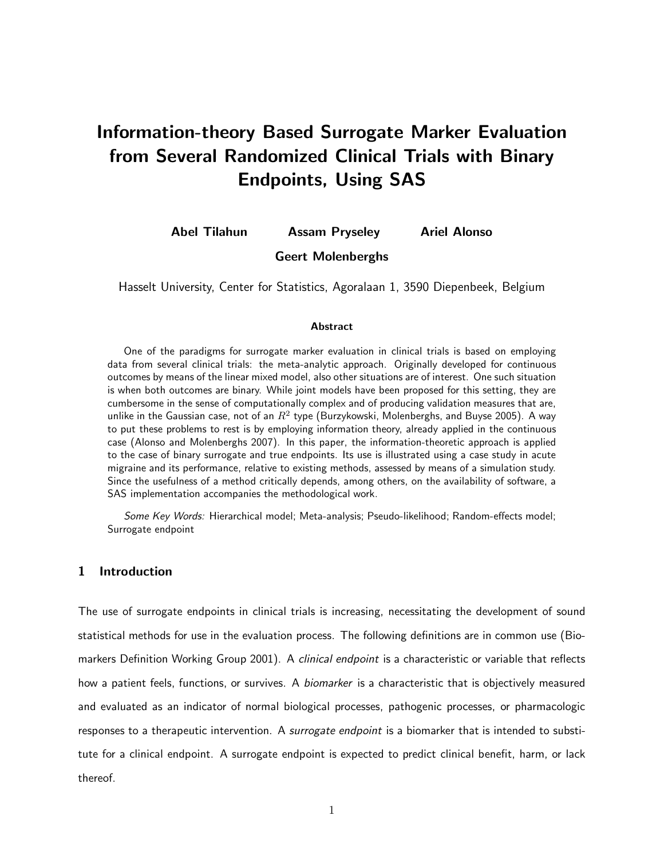# **Information-theory Based Surrogate Marker Evaluation from Several Randomized Clinical Trials with Binary Endpoints, Using SAS**

**Abel Tilahun Assam Pryseley Ariel Alonso**

**Geert Molenberghs**

Hasselt University, Center for Statistics, Agoralaan 1, 3590 Diepenbeek, Belgium

#### **Abstract**

One of the paradigms for surrogate marker evaluation in clinical trials is based on employing data from several clinical trials: the meta-analytic approach. Originally developed for continuous outcomes by means of the linear mixed model, also other situations are of interest. One such situation is when both outcomes are binary. While joint models have been proposed for this setting, they are cumbersome in the sense of computationally complex and of producing validation measures that are, unlike in the Gaussian case, not of an  $R^2$  type (Burzykowski, Molenberghs, and Buyse 2005). A way to put these problems to rest is by employing information theory, already applied in the continuous case (Alonso and Molenberghs 2007). In this paper, the information-theoretic approach is applied to the case of binary surrogate and true endpoints. Its use is illustrated using a case study in acute migraine and its performance, relative to existing methods, assessed by means of a simulation study. Since the usefulness of a method critically depends, among others, on the availability of software, a SAS implementation accompanies the methodological work.

*Some Key Words:* Hierarchical model; Meta-analysis; Pseudo-likelihood; Random-effects model; Surrogate endpoint

# **1 Introduction**

The use of surrogate endpoints in clinical trials is increasing, necessitating the development of sound statistical methods for use in the evaluation process. The following definitions are in common use (Biomarkers Definition Working Group 2001). A *clinical endpoint* is a characteristic or variable that reflects how a patient feels, functions, or survives. A *biomarker* is a characteristic that is objectively measured and evaluated as an indicator of normal biological processes, pathogenic processes, or pharmacologic responses to a therapeutic intervention. A *surrogate endpoint* is a biomarker that is intended to substitute for a clinical endpoint. A surrogate endpoint is expected to predict clinical benefit, harm, or lack thereof.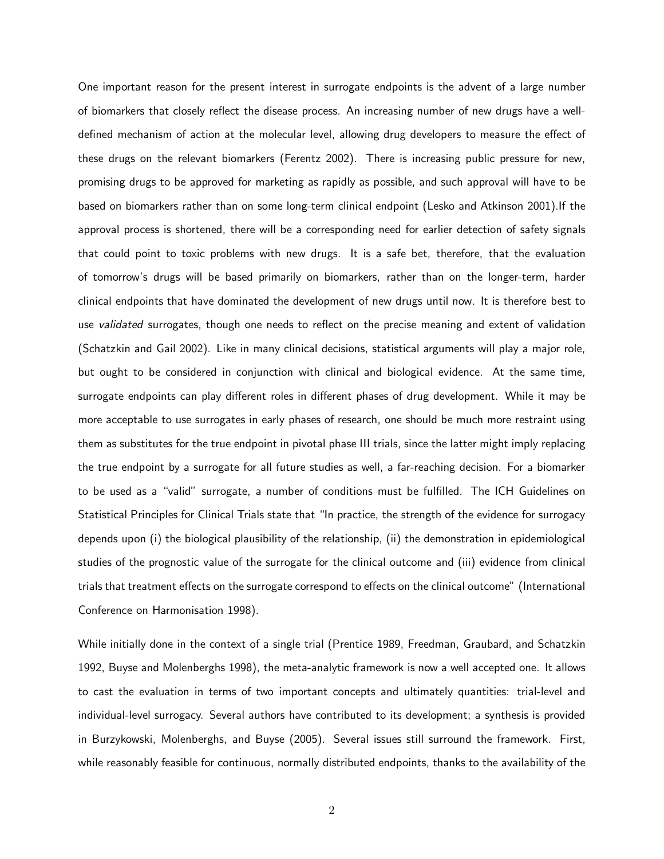One important reason for the present interest in surrogate endpoints is the advent of a large number of biomarkers that closely reflect the disease process. An increasing number of new drugs have a welldefined mechanism of action at the molecular level, allowing drug developers to measure the effect of these drugs on the relevant biomarkers (Ferentz 2002). There is increasing public pressure for new, promising drugs to be approved for marketing as rapidly as possible, and such approval will have to be based on biomarkers rather than on some long-term clinical endpoint (Lesko and Atkinson 2001).If the approval process is shortened, there will be a corresponding need for earlier detection of safety signals that could point to toxic problems with new drugs. It is a safe bet, therefore, that the evaluation of tomorrow's drugs will be based primarily on biomarkers, rather than on the longer-term, harder clinical endpoints that have dominated the development of new drugs until now. It is therefore best to use *validated* surrogates, though one needs to reflect on the precise meaning and extent of validation (Schatzkin and Gail 2002). Like in many clinical decisions, statistical arguments will play a major role, but ought to be considered in conjunction with clinical and biological evidence. At the same time, surrogate endpoints can play different roles in different phases of drug development. While it may be more acceptable to use surrogates in early phases of research, one should be much more restraint using them as substitutes for the true endpoint in pivotal phase III trials, since the latter might imply replacing the true endpoint by a surrogate for all future studies as well, a far-reaching decision. For a biomarker to be used as a "valid" surrogate, a number of conditions must be fulfilled. The ICH Guidelines on Statistical Principles for Clinical Trials state that "In practice, the strength of the evidence for surrogacy depends upon (i) the biological plausibility of the relationship, (ii) the demonstration in epidemiological studies of the prognostic value of the surrogate for the clinical outcome and (iii) evidence from clinical trials that treatment effects on the surrogate correspond to effects on the clinical outcome" (International Conference on Harmonisation 1998).

While initially done in the context of a single trial (Prentice 1989, Freedman, Graubard, and Schatzkin 1992, Buyse and Molenberghs 1998), the meta-analytic framework is now a well accepted one. It allows to cast the evaluation in terms of two important concepts and ultimately quantities: trial-level and individual-level surrogacy. Several authors have contributed to its development; a synthesis is provided in Burzykowski, Molenberghs, and Buyse (2005). Several issues still surround the framework. First, while reasonably feasible for continuous, normally distributed endpoints, thanks to the availability of the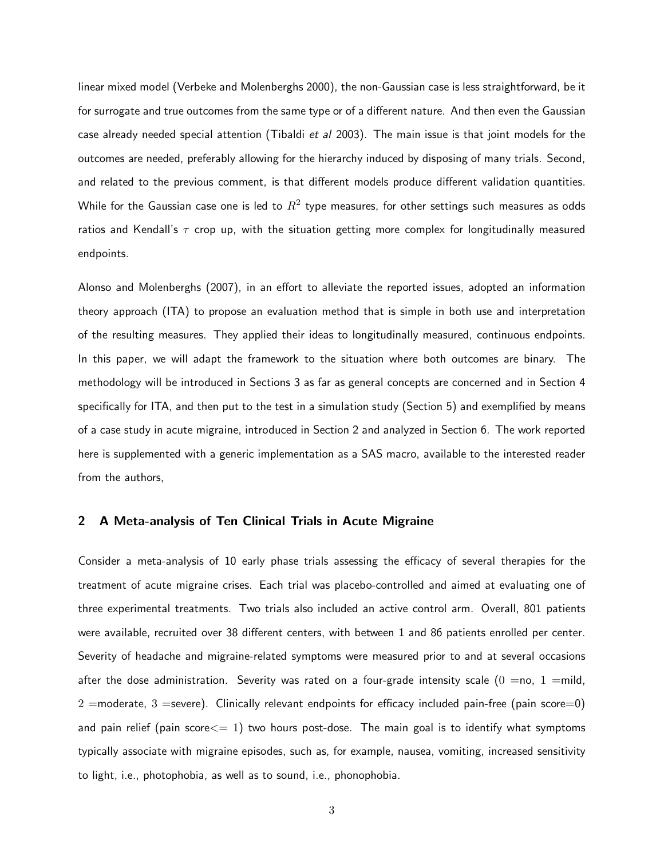linear mixed model (Verbeke and Molenberghs 2000), the non-Gaussian case is less straightforward, be it for surrogate and true outcomes from the same type or of a different nature. And then even the Gaussian case already needed special attention (Tibaldi *et al* 2003). The main issue is that joint models for the outcomes are needed, preferably allowing for the hierarchy induced by disposing of many trials. Second, and related to the previous comment, is that different models produce different validation quantities. While for the Gaussian case one is led to  $R^2$  type measures, for other settings such measures as odds ratios and Kendall's  $\tau$  crop up, with the situation getting more complex for longitudinally measured endpoints.

Alonso and Molenberghs (2007), in an effort to alleviate the reported issues, adopted an information theory approach (ITA) to propose an evaluation method that is simple in both use and interpretation of the resulting measures. They applied their ideas to longitudinally measured, continuous endpoints. In this paper, we will adapt the framework to the situation where both outcomes are binary. The methodology will be introduced in Sections 3 as far as general concepts are concerned and in Section 4 specifically for ITA, and then put to the test in a simulation study (Section 5) and exemplified by means of a case study in acute migraine, introduced in Section 2 and analyzed in Section 6. The work reported here is supplemented with a generic implementation as a SAS macro, available to the interested reader from the authors,

#### **2 A Meta-analysis of Ten Clinical Trials in Acute Migraine**

Consider a meta-analysis of 10 early phase trials assessing the efficacy of several therapies for the treatment of acute migraine crises. Each trial was placebo-controlled and aimed at evaluating one of three experimental treatments. Two trials also included an active control arm. Overall, 801 patients were available, recruited over 38 different centers, with between 1 and 86 patients enrolled per center. Severity of headache and migraine-related symptoms were measured prior to and at several occasions after the dose administration. Severity was rated on a four-grade intensity scale  $(0 = no, 1 = mild)$ , 2 =moderate, 3 =severe). Clinically relevant endpoints for efficacy included pain-free (pain score=0) and pain relief (pain score $<= 1$ ) two hours post-dose. The main goal is to identify what symptoms typically associate with migraine episodes, such as, for example, nausea, vomiting, increased sensitivity to light, i.e., photophobia, as well as to sound, i.e., phonophobia.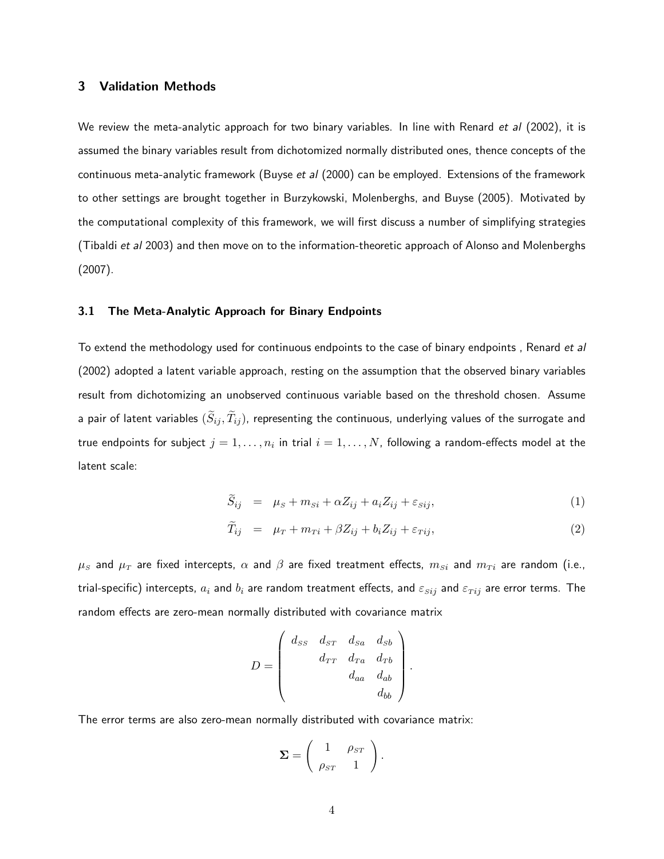# **3 Validation Methods**

We review the meta-analytic approach for two binary variables. In line with Renard *et al* (2002), it is assumed the binary variables result from dichotomized normally distributed ones, thence concepts of the continuous meta-analytic framework (Buyse *et al* (2000) can be employed. Extensions of the framework to other settings are brought together in Burzykowski, Molenberghs, and Buyse (2005). Motivated by the computational complexity of this framework, we will first discuss a number of simplifying strategies (Tibaldi *et al* 2003) and then move on to the information-theoretic approach of Alonso and Molenberghs (2007).

#### **3.1 The Meta-Analytic Approach for Binary Endpoints**

To extend the methodology used for continuous endpoints to the case of binary endpoints , Renard *et al* (2002) adopted a latent variable approach, resting on the assumption that the observed binary variables result from dichotomizing an unobserved continuous variable based on the threshold chosen. Assume a pair of latent variables  $(S_{ij},T_{ij})$ , representing the continuous, underlying values of the surrogate and true endpoints for subject  $j = 1, \ldots, n_i$  in trial  $i = 1, \ldots, N$ , following a random-effects model at the latent scale:

$$
\widetilde{S}_{ij} = \mu_S + m_{Si} + \alpha Z_{ij} + a_i Z_{ij} + \varepsilon_{Sij}, \tag{1}
$$

$$
\tilde{T}_{ij} = \mu_T + m_{Ti} + \beta Z_{ij} + b_i Z_{ij} + \varepsilon_{Tij}, \qquad (2)
$$

 $\mu_S$  and  $\mu_T$  are fixed intercepts,  $\alpha$  and  $\beta$  are fixed treatment effects,  $m_{Si}$  and  $m_{Ti}$  are random (i.e., trial-specific) intercepts,  $a_i$  and  $b_i$  are random treatment effects, and  $\varepsilon_{Sij}$  and  $\varepsilon_{Tij}$  are error terms. The random effects are zero-mean normally distributed with covariance matrix

$$
D = \begin{pmatrix} d_{SS} & d_{ST} & d_{Sa} & d_{Sb} \\ & d_{TT} & d_{Ta} & d_{Tb} \\ & & d_{aa} & d_{ab} \\ & & & d_{bb} \end{pmatrix}.
$$

The error terms are also zero-mean normally distributed with covariance matrix:

$$
\mathbf{\Sigma} = \left( \begin{array}{cc} 1 & \rho_{ST} \\ \rho_{ST} & 1 \end{array} \right).
$$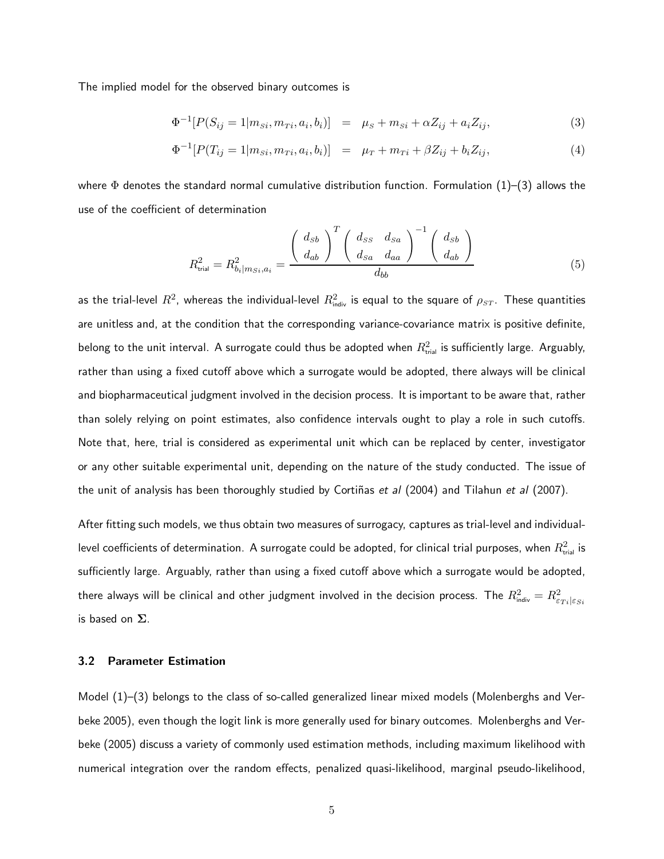The implied model for the observed binary outcomes is

$$
\Phi^{-1}[P(S_{ij} = 1 | m_{si}, m_{Ti}, a_i, b_i)] = \mu_s + m_{si} + \alpha Z_{ij} + a_i Z_{ij}, \tag{3}
$$

$$
\Phi^{-1}[P(T_{ij}=1|m_{si},m_{Ti},a_i,b_i)] = \mu_T + m_{Ti} + \beta Z_{ij} + b_i Z_{ij}, \qquad (4)
$$

where  $\Phi$  denotes the standard normal cumulative distribution function. Formulation (1)–(3) allows the use of the coefficient of determination

$$
R_{\text{trial}}^2 = R_{b_i|m_{Si},a_i}^2 = \frac{\left(\begin{array}{c} d_{Sb} \\ d_{ab} \end{array}\right)^T \left(\begin{array}{c} d_{Ss} & d_{Sa} \\ d_{Sa} & d_{aa} \end{array}\right)^{-1} \left(\begin{array}{c} d_{Sb} \\ d_{ab} \end{array}\right)}{d_{bb}} \tag{5}
$$

as the trial-level  $R^2$ , whereas the individual-level  $R^2_{\rm indiv}$  is equal to the square of  $\rho_{ST}.$  These quantities are unitless and, at the condition that the corresponding variance-covariance matrix is positive definite, belong to the unit interval. A surrogate could thus be adopted when  $R_{\rm trial}^2$  is sufficiently large. Arguably, rather than using a fixed cutoff above which a surrogate would be adopted, there always will be clinical and biopharmaceutical judgment involved in the decision process. It is important to be aware that, rather than solely relying on point estimates, also confidence intervals ought to play a role in such cutoffs. Note that, here, trial is considered as experimental unit which can be replaced by center, investigator or any other suitable experimental unit, depending on the nature of the study conducted. The issue of the unit of analysis has been thoroughly studied by Cortiñas *et al* (2004) and Tilahun *et al* (2007).

After fitting such models, we thus obtain two measures of surrogacy, captures as trial-level and individuallevel coefficients of determination.  $\,$  surrogate could be adopted, for clinical trial purposes, when  $R_{\text{trial}}^2$  is sufficiently large. Arguably, rather than using a fixed cutoff above which a surrogate would be adopted, there always will be clinical and other judgment involved in the decision process. The  $R_{\mathsf{indiv}}^2=R_{\varepsilon_{Ti}|\varepsilon_{Si}}^2$ is based on **Σ**.

#### **3.2 Parameter Estimation**

Model (1)–(3) belongs to the class of so-called generalized linear mixed models (Molenberghs and Verbeke 2005), even though the logit link is more generally used for binary outcomes. Molenberghs and Verbeke (2005) discuss a variety of commonly used estimation methods, including maximum likelihood with numerical integration over the random effects, penalized quasi-likelihood, marginal pseudo-likelihood,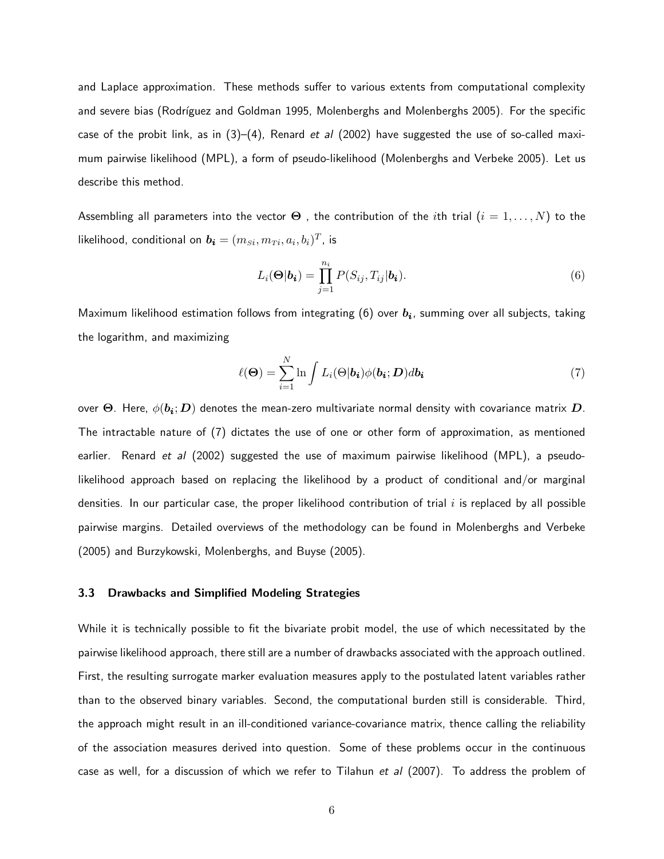and Laplace approximation. These methods suffer to various extents from computational complexity and severe bias (Rodríguez and Goldman 1995, Molenberghs and Molenberghs 2005). For the specific case of the probit link, as in (3)–(4), Renard *et al* (2002) have suggested the use of so-called maximum pairwise likelihood (MPL), a form of pseudo-likelihood (Molenberghs and Verbeke 2005). Let us describe this method.

Assembling all parameters into the vector  $\Theta$ , the contribution of the *i*th trial  $(i = 1, ..., N)$  to the likelihood, conditional on  $\boldsymbol{b_i} = (m_{Si}, m_{Ti}, a_i, b_i)^T$ , is

$$
L_i(\mathbf{\Theta}|\mathbf{b_i}) = \prod_{j=1}^{n_i} P(S_{ij}, T_{ij}|\mathbf{b_i}).
$$
\n(6)

Maximum likelihood estimation follows from integrating (6) over *b*i, summing over all subjects, taking the logarithm, and maximizing

$$
\ell(\Theta) = \sum_{i=1}^{N} \ln \int L_i(\Theta | \boldsymbol{b_i}) \phi(\boldsymbol{b_i}; \boldsymbol{D}) d\boldsymbol{b_i}
$$
\n(7)

over **Θ**. Here, φ(*b*i; *D*) denotes the mean-zero multivariate normal density with covariance matrix *D*. The intractable nature of (7) dictates the use of one or other form of approximation, as mentioned earlier. Renard *et al* (2002) suggested the use of maximum pairwise likelihood (MPL), a pseudolikelihood approach based on replacing the likelihood by a product of conditional and/or marginal densities. In our particular case, the proper likelihood contribution of trial i is replaced by all possible pairwise margins. Detailed overviews of the methodology can be found in Molenberghs and Verbeke (2005) and Burzykowski, Molenberghs, and Buyse (2005).

#### **3.3 Drawbacks and Simplified Modeling Strategies**

While it is technically possible to fit the bivariate probit model, the use of which necessitated by the pairwise likelihood approach, there still are a number of drawbacks associated with the approach outlined. First, the resulting surrogate marker evaluation measures apply to the postulated latent variables rather than to the observed binary variables. Second, the computational burden still is considerable. Third, the approach might result in an ill-conditioned variance-covariance matrix, thence calling the reliability of the association measures derived into question. Some of these problems occur in the continuous case as well, for a discussion of which we refer to Tilahun *et al* (2007). To address the problem of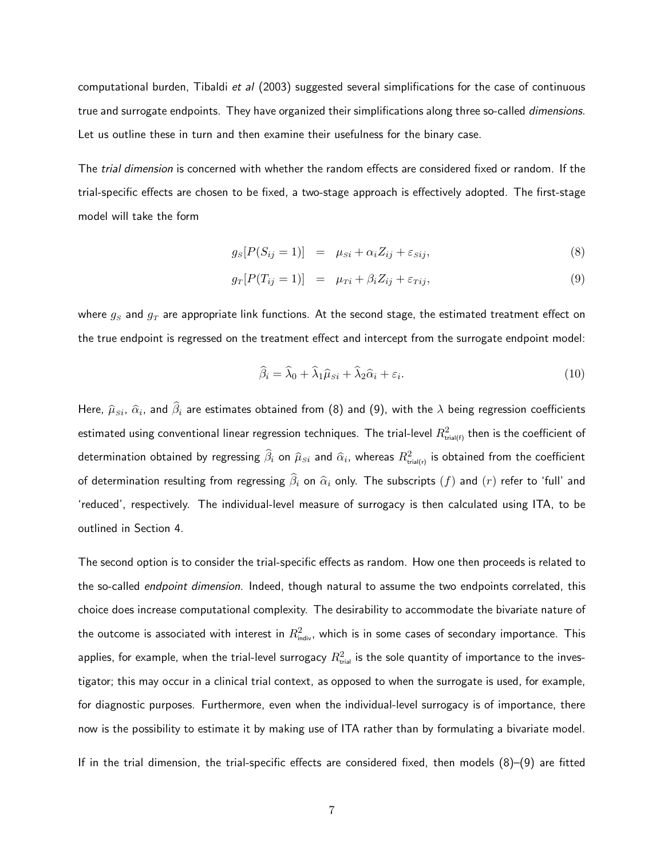computational burden, Tibaldi *et al* (2003) suggested several simplifications for the case of continuous true and surrogate endpoints. They have organized their simplifications along three so-called *dimensions*. Let us outline these in turn and then examine their usefulness for the binary case.

The *trial dimension* is concerned with whether the random effects are considered fixed or random. If the trial-specific effects are chosen to be fixed, a two-stage approach is effectively adopted. The first-stage model will take the form

$$
g_s[P(S_{ij}=1)] = \mu_{si} + \alpha_i Z_{ij} + \varepsilon_{sij}, \qquad (8)
$$

$$
g_T[P(T_{ij}=1)] = \mu_{Ti} + \beta_i Z_{ij} + \varepsilon_{Tij}, \qquad (9)
$$

where  $g_S$  and  $g_T$  are appropriate link functions. At the second stage, the estimated treatment effect on the true endpoint is regressed on the treatment effect and intercept from the surrogate endpoint model:

$$
\widehat{\beta}_i = \widehat{\lambda}_0 + \widehat{\lambda}_1 \widehat{\mu}_{Si} + \widehat{\lambda}_2 \widehat{\alpha}_i + \varepsilon_i.
$$
\n(10)

Here,  $\widehat{\mu}_{Si}$ ,  $\widehat{\alpha}_i$ , and  $\beta_i$  are estimates obtained from (8) and (9), with the  $\lambda$  being regression coefficients estimated using conventional linear regression techniques. The trial-level  $R^2_{\mathsf{trial}(\mathsf{f})}$  then is the coefficient of determination obtained by regressing  $\widehat\beta_i$  on  $\widehat\mu_{Si}$  and  $\widehat\alpha_i$ , whereas  $R^2_{\mathsf{trial}(r)}$  is obtained from the coefficient of determination resulting from regressing  $\beta_i$  on  $\widehat{\alpha}_i$  only. The subscripts  $(f)$  and  $(r)$  refer to 'full' and 'reduced', respectively. The individual-level measure of surrogacy is then calculated using ITA, to be outlined in Section 4.

The second option is to consider the trial-specific effects as random. How one then proceeds is related to the so-called *endpoint dimension*. Indeed, though natural to assume the two endpoints correlated, this choice does increase computational complexity. The desirability to accommodate the bivariate nature of the outcome is associated with interest in  $R_{\rm indiv}^2$ , which is in some cases of secondary importance. This applies, for example, when the trial-level surrogacy  $R_{\text{\tiny trial}}^2$  is the sole quantity of importance to the investigator; this may occur in a clinical trial context, as opposed to when the surrogate is used, for example, for diagnostic purposes. Furthermore, even when the individual-level surrogacy is of importance, there now is the possibility to estimate it by making use of ITA rather than by formulating a bivariate model. If in the trial dimension, the trial-specific effects are considered fixed, then models  $(8)$ – $(9)$  are fitted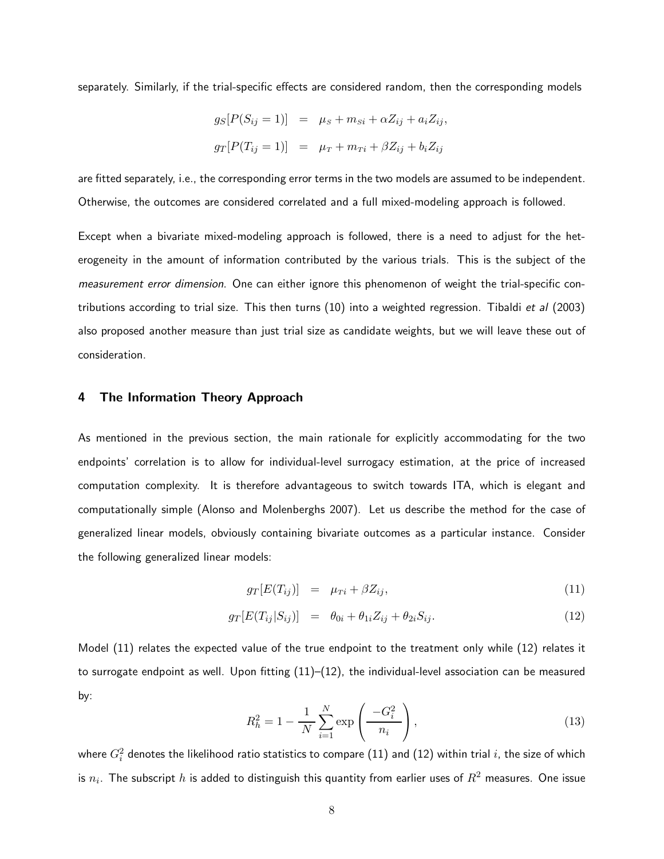separately. Similarly, if the trial-specific effects are considered random, then the corresponding models

$$
g_S[P(S_{ij} = 1)] = \mu_S + m_{Si} + \alpha Z_{ij} + a_i Z_{ij},
$$
  

$$
g_T[P(T_{ij} = 1)] = \mu_T + m_{Ti} + \beta Z_{ij} + b_i Z_{ij}
$$

are fitted separately, i.e., the corresponding error terms in the two models are assumed to be independent. Otherwise, the outcomes are considered correlated and a full mixed-modeling approach is followed.

Except when a bivariate mixed-modeling approach is followed, there is a need to adjust for the heterogeneity in the amount of information contributed by the various trials. This is the subject of the *measurement error dimension*. One can either ignore this phenomenon of weight the trial-specific contributions according to trial size. This then turns (10) into a weighted regression. Tibaldi *et al* (2003) also proposed another measure than just trial size as candidate weights, but we will leave these out of consideration.

#### **4 The Information Theory Approach**

As mentioned in the previous section, the main rationale for explicitly accommodating for the two endpoints' correlation is to allow for individual-level surrogacy estimation, at the price of increased computation complexity. It is therefore advantageous to switch towards ITA, which is elegant and computationally simple (Alonso and Molenberghs 2007). Let us describe the method for the case of generalized linear models, obviously containing bivariate outcomes as a particular instance. Consider the following generalized linear models:

$$
g_T[E(T_{ij})] = \mu_{Ti} + \beta Z_{ij}, \qquad (11)
$$

$$
g_T[E(T_{ij}|S_{ij})] = \theta_{0i} + \theta_{1i} Z_{ij} + \theta_{2i} S_{ij}.
$$
 (12)

Model (11) relates the expected value of the true endpoint to the treatment only while (12) relates it to surrogate endpoint as well. Upon fitting  $(11)$ – $(12)$ , the individual-level association can be measured by:

$$
R_h^2 = 1 - \frac{1}{N} \sum_{i=1}^{N} \exp\left(-\frac{G_i^2}{n_i}\right),\tag{13}
$$

where  $G_i^2$  denotes the likelihood ratio statistics to compare  $(11)$  and  $(12)$  within trial  $i$ , the size of which is  $n_i$ . The subscript h is added to distinguish this quantity from earlier uses of  $R^2$  measures. One issue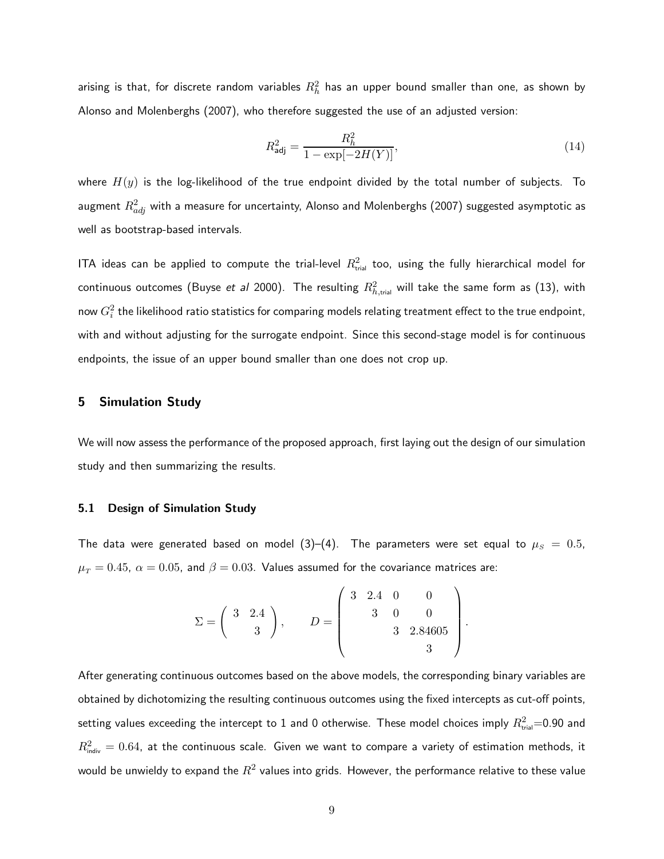arising is that, for discrete random variables  $R_h^2$  has an upper bound smaller than one, as shown by Alonso and Molenberghs (2007), who therefore suggested the use of an adjusted version:

$$
R_{\text{adj}}^2 = \frac{R_h^2}{1 - \exp[-2H(Y)]},\tag{14}
$$

where  $H(y)$  is the log-likelihood of the true endpoint divided by the total number of subjects. To augment  $R_{adj}^2$  with a measure for uncertainty, Alonso and Molenberghs (2007) suggested asymptotic as well as bootstrap-based intervals.

ITA ideas can be applied to compute the trial-level  $R_{\rm trial}^2$  too, using the fully hierarchical model for continuous outcomes (Buyse *et al* 2000). The resulting  $R_{h,\mathsf{trial}}^2$  will take the same form as (13), with now  $G_i^2$  the likelihood ratio statistics for comparing models relating treatment effect to the true endpoint, with and without adjusting for the surrogate endpoint. Since this second-stage model is for continuous endpoints, the issue of an upper bound smaller than one does not crop up.

# **5 Simulation Study**

We will now assess the performance of the proposed approach, first laying out the design of our simulation study and then summarizing the results.

# **5.1 Design of Simulation Study**

The data were generated based on model (3)–(4). The parameters were set equal to  $\mu_S = 0.5$ ,  $\mu_T = 0.45$ ,  $\alpha = 0.05$ , and  $\beta = 0.03$ . Values assumed for the covariance matrices are:

$$
\Sigma = \left(\begin{array}{cc} 3 & 2.4 \\ & 3 \end{array}\right), \qquad D = \left(\begin{array}{cc} 3 & 2.4 & 0 & 0 \\ & 3 & 0 & 0 \\ & & 3 & 2.84605 \\ & & & 3 \end{array}\right).
$$

After generating continuous outcomes based on the above models, the corresponding binary variables are obtained by dichotomizing the resulting continuous outcomes using the fixed intercepts as cut-off points, setting values exceeding the intercept to  $1$  and  $0$  otherwise. These model choices imply  $R_{\text{\tiny trial}}^2{=}0.90$  and  $R^2_{\hbox{\tiny indiv}}=0.64$ , at the continuous scale. Given we want to compare a variety of estimation methods, it would be unwieldy to expand the  $R^2$  values into grids. However, the performance relative to these value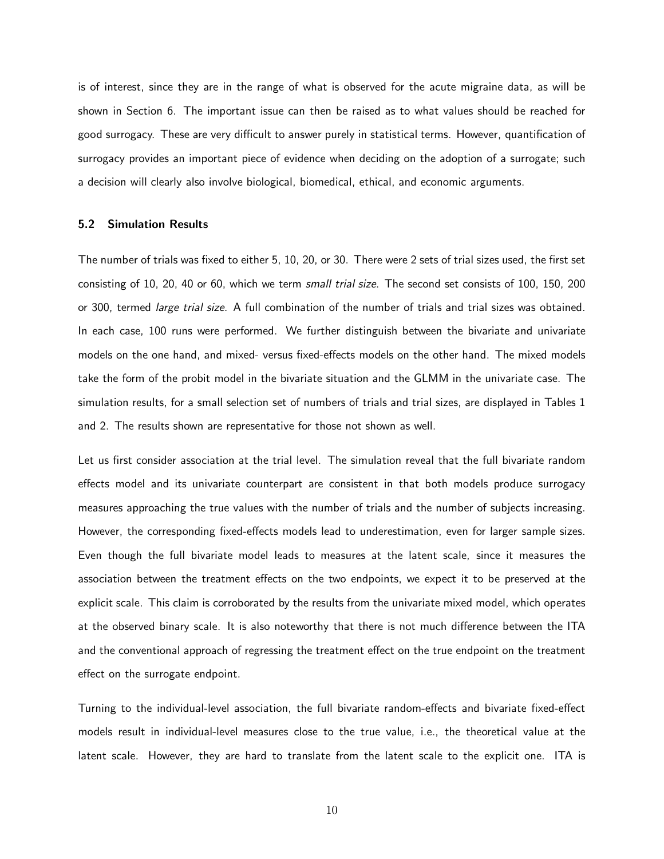is of interest, since they are in the range of what is observed for the acute migraine data, as will be shown in Section 6. The important issue can then be raised as to what values should be reached for good surrogacy. These are very difficult to answer purely in statistical terms. However, quantification of surrogacy provides an important piece of evidence when deciding on the adoption of a surrogate; such a decision will clearly also involve biological, biomedical, ethical, and economic arguments.

#### **5.2 Simulation Results**

The number of trials was fixed to either 5, 10, 20, or 30. There were 2 sets of trial sizes used, the first set consisting of 10, 20, 40 or 60, which we term *small trial size*. The second set consists of 100, 150, 200 or 300, termed *large trial size*. A full combination of the number of trials and trial sizes was obtained. In each case, 100 runs were performed. We further distinguish between the bivariate and univariate models on the one hand, and mixed- versus fixed-effects models on the other hand. The mixed models take the form of the probit model in the bivariate situation and the GLMM in the univariate case. The simulation results, for a small selection set of numbers of trials and trial sizes, are displayed in Tables 1 and 2. The results shown are representative for those not shown as well.

Let us first consider association at the trial level. The simulation reveal that the full bivariate random effects model and its univariate counterpart are consistent in that both models produce surrogacy measures approaching the true values with the number of trials and the number of subjects increasing. However, the corresponding fixed-effects models lead to underestimation, even for larger sample sizes. Even though the full bivariate model leads to measures at the latent scale, since it measures the association between the treatment effects on the two endpoints, we expect it to be preserved at the explicit scale. This claim is corroborated by the results from the univariate mixed model, which operates at the observed binary scale. It is also noteworthy that there is not much difference between the ITA and the conventional approach of regressing the treatment effect on the true endpoint on the treatment effect on the surrogate endpoint.

Turning to the individual-level association, the full bivariate random-effects and bivariate fixed-effect models result in individual-level measures close to the true value, i.e., the theoretical value at the latent scale. However, they are hard to translate from the latent scale to the explicit one. ITA is

10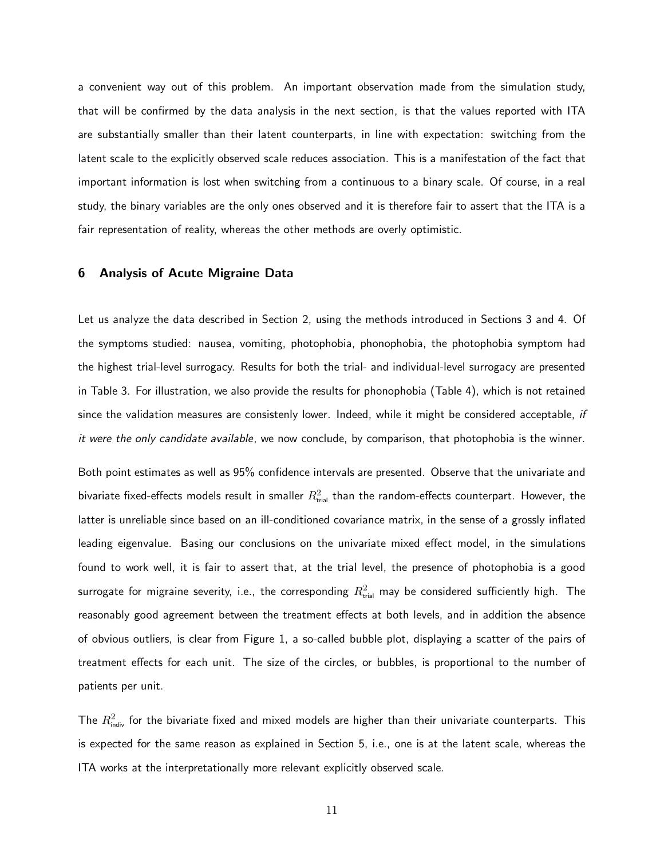a convenient way out of this problem. An important observation made from the simulation study, that will be confirmed by the data analysis in the next section, is that the values reported with ITA are substantially smaller than their latent counterparts, in line with expectation: switching from the latent scale to the explicitly observed scale reduces association. This is a manifestation of the fact that important information is lost when switching from a continuous to a binary scale. Of course, in a real study, the binary variables are the only ones observed and it is therefore fair to assert that the ITA is a fair representation of reality, whereas the other methods are overly optimistic.

#### **6 Analysis of Acute Migraine Data**

Let us analyze the data described in Section 2, using the methods introduced in Sections 3 and 4. Of the symptoms studied: nausea, vomiting, photophobia, phonophobia, the photophobia symptom had the highest trial-level surrogacy. Results for both the trial- and individual-level surrogacy are presented in Table 3. For illustration, we also provide the results for phonophobia (Table 4), which is not retained since the validation measures are consistenly lower. Indeed, while it might be considered acceptable, *if it were the only candidate available*, we now conclude, by comparison, that photophobia is the winner.

Both point estimates as well as 95% confidence intervals are presented. Observe that the univariate and bivariate fixed-effects models result in smaller  $R_{\text{\tiny trial}}^2$  than the random-effects counterpart. However, the latter is unreliable since based on an ill-conditioned covariance matrix, in the sense of a grossly inflated leading eigenvalue. Basing our conclusions on the univariate mixed effect model, in the simulations found to work well, it is fair to assert that, at the trial level, the presence of photophobia is a good surrogate for migraine severity, i.e., the corresponding  $R_{\text{\tiny trial}}^2$  may be considered sufficiently high. The reasonably good agreement between the treatment effects at both levels, and in addition the absence of obvious outliers, is clear from Figure 1, a so-called bubble plot, displaying a scatter of the pairs of treatment effects for each unit. The size of the circles, or bubbles, is proportional to the number of patients per unit.

The  $R_{\text{\tiny{indiv}}}^2$  for the bivariate fixed and mixed models are higher than their univariate counterparts. This is expected for the same reason as explained in Section 5, i.e., one is at the latent scale, whereas the ITA works at the interpretationally more relevant explicitly observed scale.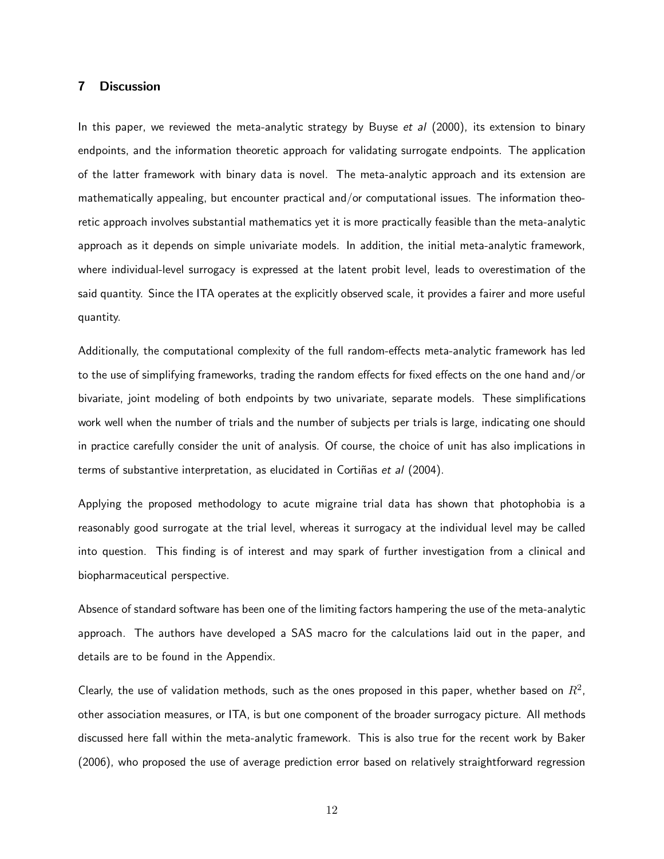# **7 Discussion**

In this paper, we reviewed the meta-analytic strategy by Buyse *et al* (2000), its extension to binary endpoints, and the information theoretic approach for validating surrogate endpoints. The application of the latter framework with binary data is novel. The meta-analytic approach and its extension are mathematically appealing, but encounter practical and/or computational issues. The information theoretic approach involves substantial mathematics yet it is more practically feasible than the meta-analytic approach as it depends on simple univariate models. In addition, the initial meta-analytic framework, where individual-level surrogacy is expressed at the latent probit level, leads to overestimation of the said quantity. Since the ITA operates at the explicitly observed scale, it provides a fairer and more useful quantity.

Additionally, the computational complexity of the full random-effects meta-analytic framework has led to the use of simplifying frameworks, trading the random effects for fixed effects on the one hand and/or bivariate, joint modeling of both endpoints by two univariate, separate models. These simplifications work well when the number of trials and the number of subjects per trials is large, indicating one should in practice carefully consider the unit of analysis. Of course, the choice of unit has also implications in terms of substantive interpretation, as elucidated in Cortiñas *et al* (2004).

Applying the proposed methodology to acute migraine trial data has shown that photophobia is a reasonably good surrogate at the trial level, whereas it surrogacy at the individual level may be called into question. This finding is of interest and may spark of further investigation from a clinical and biopharmaceutical perspective.

Absence of standard software has been one of the limiting factors hampering the use of the meta-analytic approach. The authors have developed a SAS macro for the calculations laid out in the paper, and details are to be found in the Appendix.

Clearly, the use of validation methods, such as the ones proposed in this paper, whether based on  $R<sup>2</sup>$ , other association measures, or ITA, is but one component of the broader surrogacy picture. All methods discussed here fall within the meta-analytic framework. This is also true for the recent work by Baker (2006), who proposed the use of average prediction error based on relatively straightforward regression

12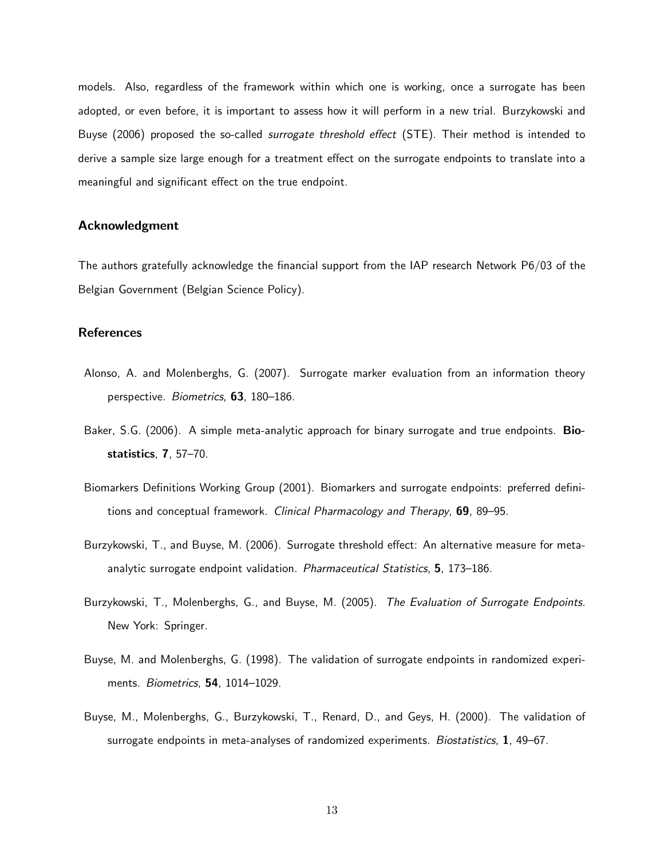models. Also, regardless of the framework within which one is working, once a surrogate has been adopted, or even before, it is important to assess how it will perform in a new trial. Burzykowski and Buyse (2006) proposed the so-called *surrogate threshold effect* (STE). Their method is intended to derive a sample size large enough for a treatment effect on the surrogate endpoints to translate into a meaningful and significant effect on the true endpoint.

#### **Acknowledgment**

The authors gratefully acknowledge the financial support from the IAP research Network P6/03 of the Belgian Government (Belgian Science Policy).

# **References**

- Alonso, A. and Molenberghs, G. (2007). Surrogate marker evaluation from an information theory perspective. *Biometrics*, **63**, 180–186.
- Baker, S.G. (2006). A simple meta-analytic approach for binary surrogate and true endpoints. **Biostatistics**, **7**, 57–70.
- Biomarkers Definitions Working Group (2001). Biomarkers and surrogate endpoints: preferred definitions and conceptual framework. *Clinical Pharmacology and Therapy*, **69**, 89–95.
- Burzykowski, T., and Buyse, M. (2006). Surrogate threshold effect: An alternative measure for metaanalytic surrogate endpoint validation. *Pharmaceutical Statistics*, **5**, 173–186.
- Burzykowski, T., Molenberghs, G., and Buyse, M. (2005). *The Evaluation of Surrogate Endpoints.* New York: Springer.
- Buyse, M. and Molenberghs, G. (1998). The validation of surrogate endpoints in randomized experiments. *Biometrics*, **54**, 1014–1029.
- Buyse, M., Molenberghs, G., Burzykowski, T., Renard, D., and Geys, H. (2000). The validation of surrogate endpoints in meta-analyses of randomized experiments. *Biostatistics*, **1**, 49–67.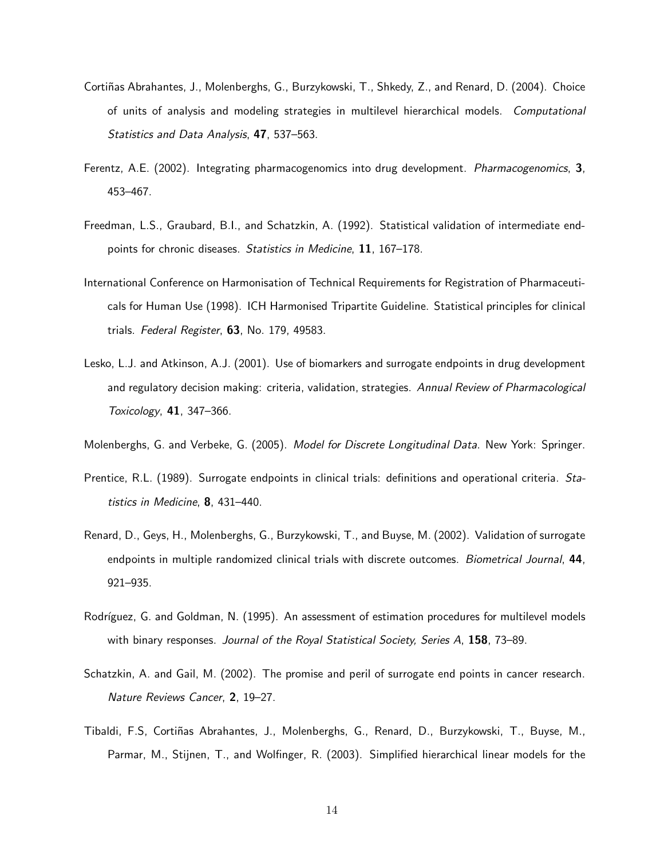- Cortiñas Abrahantes, J., Molenberghs, G., Burzykowski, T., Shkedy, Z., and Renard, D. (2004). Choice of units of analysis and modeling strategies in multilevel hierarchical models. *Computational Statistics and Data Analysis*, **47**, 537–563.
- Ferentz, A.E. (2002). Integrating pharmacogenomics into drug development. *Pharmacogenomics*, **3**, 453–467.
- Freedman, L.S., Graubard, B.I., and Schatzkin, A. (1992). Statistical validation of intermediate endpoints for chronic diseases. *Statistics in Medicine*, **11**, 167–178.
- International Conference on Harmonisation of Technical Requirements for Registration of Pharmaceuticals for Human Use (1998). ICH Harmonised Tripartite Guideline. Statistical principles for clinical trials. *Federal Register*, **63**, No. 179, 49583.
- Lesko, L.J. and Atkinson, A.J. (2001). Use of biomarkers and surrogate endpoints in drug development and regulatory decision making: criteria, validation, strategies. *Annual Review of Pharmacological Toxicology*, **41**, 347–366.
- Molenberghs, G. and Verbeke, G. (2005). *Model for Discrete Longitudinal Data*. New York: Springer.
- Prentice, R.L. (1989). Surrogate endpoints in clinical trials: definitions and operational criteria. *Statistics in Medicine*, **8**, 431–440.
- Renard, D., Geys, H., Molenberghs, G., Burzykowski, T., and Buyse, M. (2002). Validation of surrogate endpoints in multiple randomized clinical trials with discrete outcomes. *Biometrical Journal*, **44**, 921–935.
- Rodríguez, G. and Goldman, N. (1995). An assessment of estimation procedures for multilevel models with binary responses. *Journal of the Royal Statistical Society, Series A*, **158**, 73–89.
- Schatzkin, A. and Gail, M. (2002). The promise and peril of surrogate end points in cancer research. *Nature Reviews Cancer*, **2**, 19–27.
- Tibaldi, F.S, Cortiñas Abrahantes, J., Molenberghs, G., Renard, D., Burzykowski, T., Buyse, M., Parmar, M., Stijnen, T., and Wolfinger, R. (2003). Simplified hierarchical linear models for the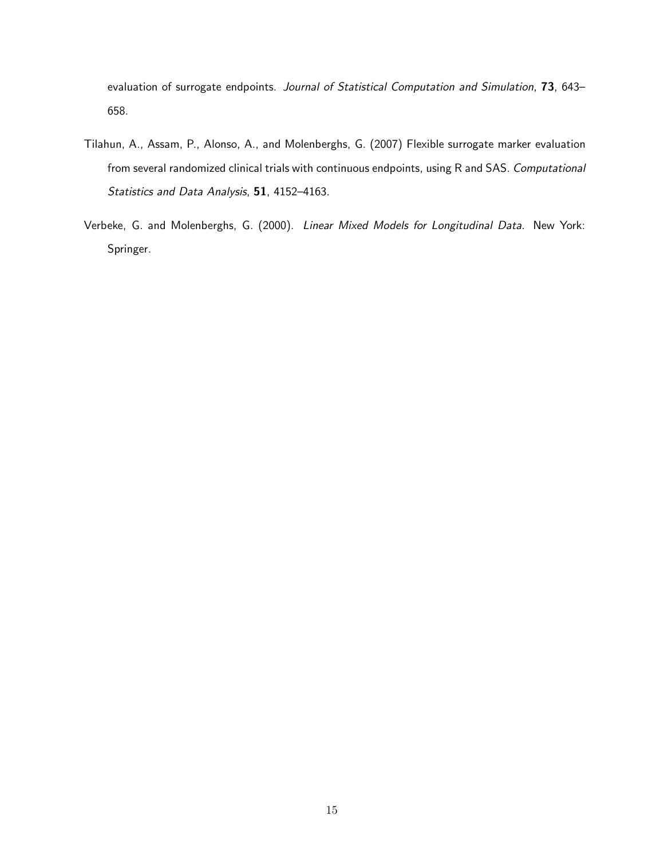evaluation of surrogate endpoints. *Journal of Statistical Computation and Simulation*, **73**, 643– 658.

- Tilahun, A., Assam, P., Alonso, A., and Molenberghs, G. (2007) Flexible surrogate marker evaluation from several randomized clinical trials with continuous endpoints, using R and SAS. *Computational Statistics and Data Analysis*, **51**, 4152–4163.
- Verbeke, G. and Molenberghs, G. (2000). *Linear Mixed Models for Longitudinal Data*. New York: Springer.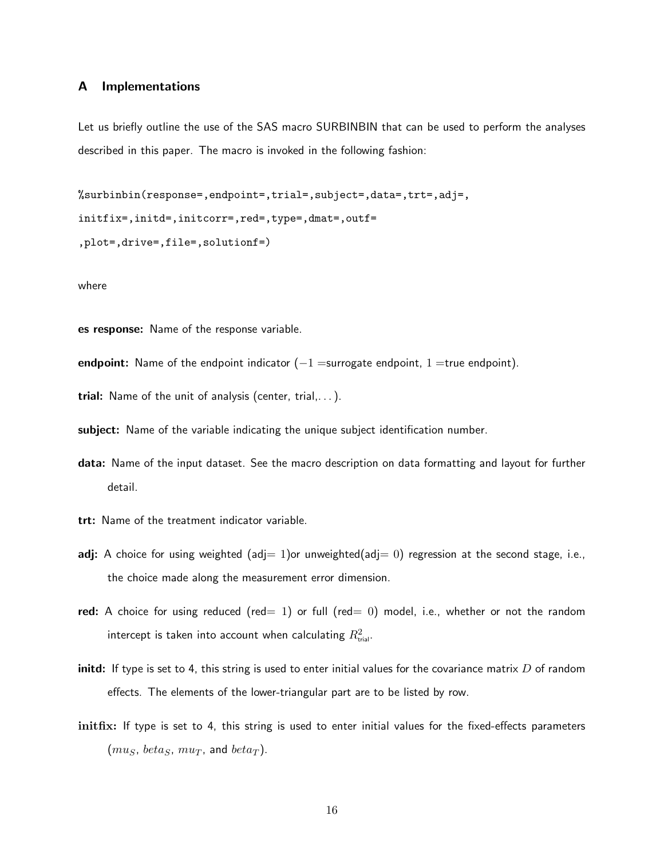# **A Implementations**

Let us briefly outline the use of the SAS macro SURBINBIN that can be used to perform the analyses described in this paper. The macro is invoked in the following fashion:

```
%surbinbin(response=,endpoint=,trial=,subject=,data=,trt=,adj=,
initfix=,initd=,initcorr=,red=,type=,dmat=,outf=
,plot=,drive=,file=,solutionf=)
```
where

**es response:** Name of the response variable.

**endpoint:** Name of the endpoint indicator  $(-1)$  =surrogate endpoint,  $1$  =true endpoint).

**trial:** Name of the unit of analysis (center, trial,. . . ).

**subject:** Name of the variable indicating the unique subject identification number.

- **data:** Name of the input dataset. See the macro description on data formatting and layout for further detail.
- **trt:** Name of the treatment indicator variable.
- **adj:** A choice for using weighted (adj= 1)or unweighted(adj= 0) regression at the second stage, i.e., the choice made along the measurement error dimension.
- red: A choice for using reduced (red= 1) or full (red= 0) model, i.e., whether or not the random intercept is taken into account when calculating  $R_{\scriptscriptstyle\rm train}^2$ .
- **initd:** If type is set to 4, this string is used to enter initial values for the covariance matrix D of random effects. The elements of the lower-triangular part are to be listed by row.
- **initfix:** If type is set to 4, this string is used to enter initial values for the fixed-effects parameters  $(mu<sub>S</sub>, beta<sub>S</sub>, mu<sub>T</sub>,$  and  $beta<sub>T</sub>)$ .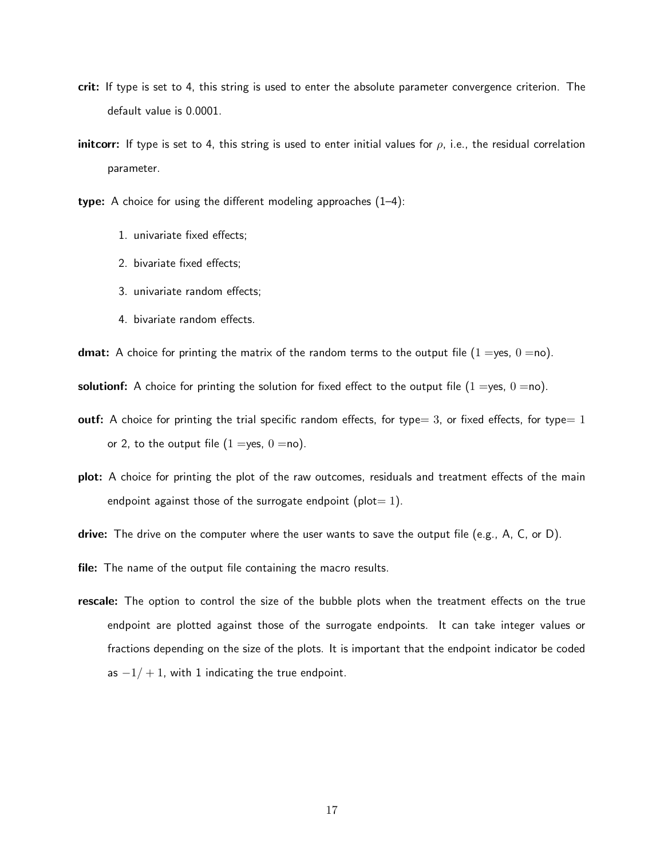- **crit:** If type is set to 4, this string is used to enter the absolute parameter convergence criterion. The default value is 0.0001.
- **initcorr:** If type is set to 4, this string is used to enter initial values for  $\rho$ , i.e., the residual correlation parameter.
- **type:** A choice for using the different modeling approaches (1–4):
	- 1. univariate fixed effects;
	- 2. bivariate fixed effects;
	- 3. univariate random effects;
	- 4. bivariate random effects.
- **dmat:** A choice for printing the matrix of the random terms to the output file  $(1 = yes, 0 = no)$ .

**solutionf:** A choice for printing the solution for fixed effect to the output file  $(1 = yes, 0 = no)$ .

- **outf:** A choice for printing the trial specific random effects, for type=  $3$ , or fixed effects, for type=  $1$ or 2, to the output file  $(1 = yes, 0 = no)$ .
- **plot:** A choice for printing the plot of the raw outcomes, residuals and treatment effects of the main endpoint against those of the surrogate endpoint (plot=  $1$ ).

**drive:** The drive on the computer where the user wants to save the output file (e.g., A, C, or D).

- **file:** The name of the output file containing the macro results.
- **rescale:** The option to control the size of the bubble plots when the treatment effects on the true endpoint are plotted against those of the surrogate endpoints. It can take integer values or fractions depending on the size of the plots. It is important that the endpoint indicator be coded as  $-1/ + 1$ , with 1 indicating the true endpoint.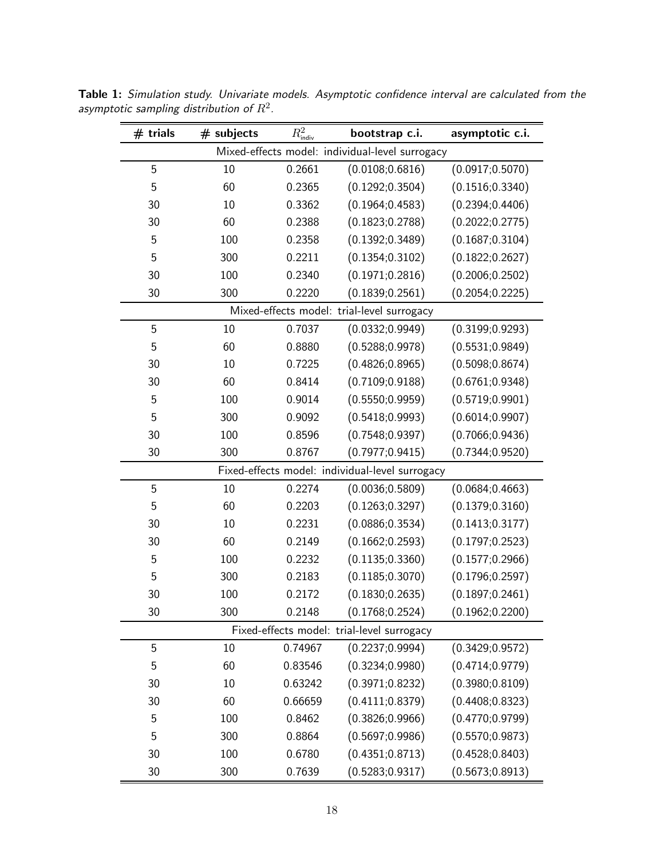| $#$ trials | $#$ subjects                                    | $R_{\rm indiv}^2$ | bootstrap c.i.                                  | asymptotic c.i.  |  |
|------------|-------------------------------------------------|-------------------|-------------------------------------------------|------------------|--|
|            |                                                 |                   | Mixed-effects model: individual-level surrogacy |                  |  |
| 5          | 10                                              | 0.2661            | (0.0108; 0.6816)                                | (0.0917; 0.5070) |  |
| 5          | 60                                              | 0.2365            | (0.1292; 0.3504)                                | (0.1516; 0.3340) |  |
| 30         | 10                                              | 0.3362            | (0.1964; 0.4583)                                | (0.2394; 0.4406) |  |
| 30         | 60                                              | 0.2388            | (0.1823; 0.2788)                                | (0.2022; 0.2775) |  |
| 5          | 100                                             | 0.2358            | (0.1392; 0.3489)                                | (0.1687; 0.3104) |  |
| 5          | 300                                             | 0.2211            | (0.1354; 0.3102)                                | (0.1822; 0.2627) |  |
| 30         | 100                                             | 0.2340            | (0.1971; 0.2816)                                | (0.2006; 0.2502) |  |
| 30         | 300                                             | 0.2220            | (0.1839; 0.2561)                                | (0.2054; 0.2225) |  |
|            | Mixed-effects model: trial-level surrogacy      |                   |                                                 |                  |  |
| 5          | 10                                              | 0.7037            | (0.0332; 0.9949)                                | (0.3199; 0.9293) |  |
| 5          | 60                                              | 0.8880            | (0.5288; 0.9978)                                | (0.5531; 0.9849) |  |
| 30         | 10                                              | 0.7225            | (0.4826; 0.8965)                                | (0.5098; 0.8674) |  |
| 30         | 60                                              | 0.8414            | (0.7109; 0.9188)                                | (0.6761; 0.9348) |  |
| 5          | 100                                             | 0.9014            | (0.5550; 0.9959)                                | (0.5719; 0.9901) |  |
| 5          | 300                                             | 0.9092            | (0.5418; 0.9993)                                | (0.6014; 0.9907) |  |
| 30         | 100                                             | 0.8596            | (0.7548; 0.9397)                                | (0.7066; 0.9436) |  |
| 30         | 300                                             | 0.8767            | (0.7977; 0.9415)                                | (0.7344; 0.9520) |  |
|            | Fixed-effects model: individual-level surrogacy |                   |                                                 |                  |  |
| 5          | 10                                              | 0.2274            | (0.0036; 0.5809)                                | (0.0684; 0.4663) |  |
| 5          | 60                                              | 0.2203            | (0.1263; 0.3297)                                | (0.1379; 0.3160) |  |
| 30         | 10                                              | 0.2231            | (0.0886; 0.3534)                                | (0.1413; 0.3177) |  |
| 30         | 60                                              | 0.2149            | (0.1662; 0.2593)                                | (0.1797; 0.2523) |  |
| 5          | 100                                             | 0.2232            | (0.1135; 0.3360)                                | (0.1577; 0.2966) |  |
| 5          | 300                                             | 0.2183            | (0.1185; 0.3070)                                | (0.1796; 0.2597) |  |
| 30         | 100                                             | 0.2172            | (0.1830; 0.2635)                                | (0.1897; 0.2461) |  |
| 30         | 300                                             | 0.2148            | (0.1768; 0.2524)                                | (0.1962; 0.2200) |  |
|            | Fixed-effects model: trial-level surrogacy      |                   |                                                 |                  |  |
| 5          | 10                                              | 0.74967           | (0.2237; 0.9994)                                | (0.3429; 0.9572) |  |
| 5          | 60                                              | 0.83546           | (0.3234; 0.9980)                                | (0.4714; 0.9779) |  |
| 30         | 10                                              | 0.63242           | (0.3971; 0.8232)                                | (0.3980; 0.8109) |  |
| 30         | 60                                              | 0.66659           | (0.4111; 0.8379)                                | (0.4408; 0.8323) |  |
| 5          | 100                                             | 0.8462            | (0.3826; 0.9966)                                | (0.4770; 0.9799) |  |
| 5          | 300                                             | 0.8864            | (0.5697; 0.9986)                                | (0.5570; 0.9873) |  |
| 30         | 100                                             | 0.6780            | (0.4351; 0.8713)                                | (0.4528; 0.8403) |  |
| 30         | 300                                             | 0.7639            | (0.5283; 0.9317)                                | (0.5673; 0.8913) |  |

**Table 1:** *Simulation study. Univariate models. Asymptotic confidence interval are calculated from the asymptotic sampling distribution of* R2*.*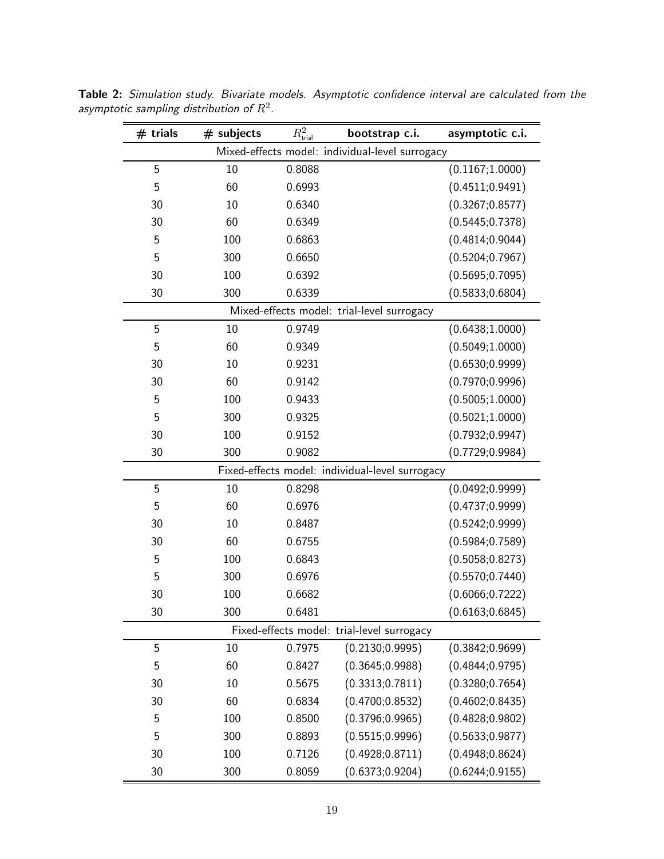| $#$ trials | $#$ subjects | $R_{\rm trial}^2$ | bootstrap c.i.                                  | asymptotic c.i.  |
|------------|--------------|-------------------|-------------------------------------------------|------------------|
|            |              |                   | Mixed-effects model: individual-level surrogacy |                  |
| 5          | 10           | 0.8088            |                                                 | (0.1167;1.0000)  |
| 5          | 60           | 0.6993            |                                                 | (0.4511; 0.9491) |
| 30         | 10           | 0.6340            |                                                 | (0.3267; 0.8577) |
| 30         | 60           | 0.6349            |                                                 | (0.5445; 0.7378) |
| 5          | 100          | 0.6863            |                                                 | (0.4814; 0.9044) |
| 5          | 300          | 0.6650            |                                                 | (0.5204; 0.7967) |
| 30         | 100          | 0.6392            |                                                 | (0.5695; 0.7095) |
| 30         | 300          | 0.6339            |                                                 | (0.5833; 0.6804) |
|            |              |                   | Mixed-effects model: trial-level surrogacy      |                  |
| 5          | 10           | 0.9749            |                                                 | (0.6438;1.0000)  |
| 5          | 60           | 0.9349            |                                                 | (0.5049; 1.0000) |
| 30         | 10           | 0.9231            |                                                 | (0.6530; 0.9999) |
| 30         | 60           | 0.9142            |                                                 | (0.7970; 0.9996) |
| 5          | 100          | 0.9433            |                                                 | (0.5005;1.0000)  |
| 5          | 300          | 0.9325            |                                                 | (0.5021;1.0000)  |
| 30         | 100          | 0.9152            |                                                 | (0.7932; 0.9947) |
| 30         | 300          | 0.9082            |                                                 | (0.7729; 0.9984) |
|            |              |                   | Fixed-effects model: individual-level surrogacy |                  |
| 5          | 10           | 0.8298            |                                                 | (0.0492; 0.9999) |
| 5          | 60           | 0.6976            |                                                 | (0.4737; 0.9999) |
| 30         | 10           | 0.8487            |                                                 | (0.5242; 0.9999) |
| 30         | 60           | 0.6755            |                                                 | (0.5984; 0.7589) |
| 5          | 100          | 0.6843            |                                                 | (0.5058; 0.8273) |
| 5          | 300          | 0.6976            |                                                 | (0.5570; 0.7440) |
| 30         | 100          | 0.6682            |                                                 | (0.6066; 0.7222) |
| 30         | 300          | 0.6481            |                                                 | (0.6163; 0.6845) |
|            |              |                   | Fixed-effects model: trial-level surrogacy      |                  |
| 5          | 10           | 0.7975            | (0.2130; 0.9995)                                | (0.3842; 0.9699) |
| 5          | 60           | 0.8427            | (0.3645; 0.9988)                                | (0.4844; 0.9795) |
| 30         | 10           | 0.5675            | (0.3313; 0.7811)                                | (0.3280; 0.7654) |
| 30         | 60           | 0.6834            | (0.4700; 0.8532)                                | (0.4602; 0.8435) |
| 5          | 100          | 0.8500            | (0.3796; 0.9965)                                | (0.4828; 0.9802) |
| 5          | 300          | 0.8893            | (0.5515; 0.9996)                                | (0.5633; 0.9877) |
| 30         | 100          | 0.7126            | (0.4928; 0.8711)                                | (0.4948; 0.8624) |
| 30         | 300          | 0.8059            | (0.6373; 0.9204)                                | (0.6244; 0.9155) |

**Table 2:** *Simulation study. Bivariate models. Asymptotic confidence interval are calculated from the asymptotic sampling distribution of* R2*.*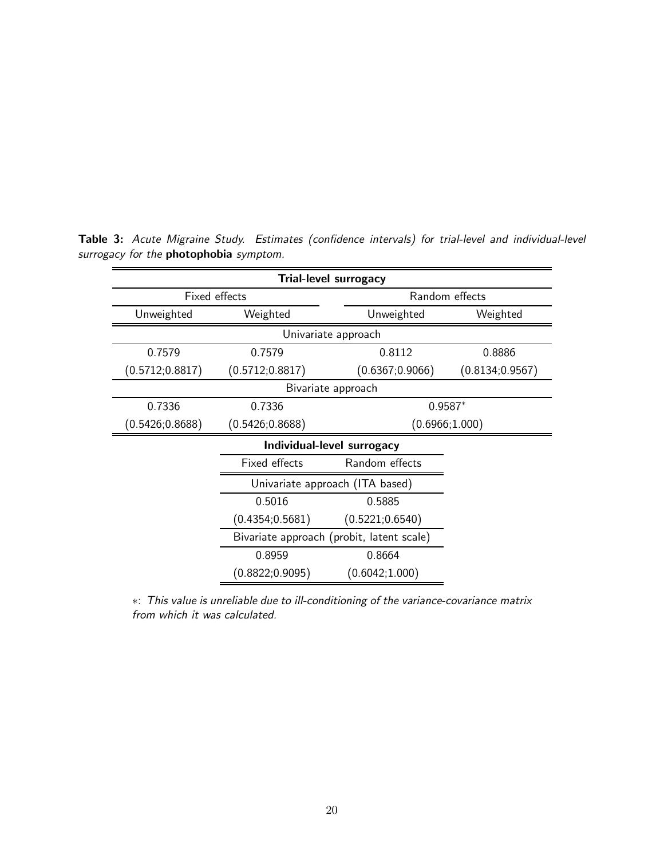| <b>Trial-level surrogacy</b> |                                           |                  |                  |  |  |
|------------------------------|-------------------------------------------|------------------|------------------|--|--|
| Fixed effects                |                                           | Random effects   |                  |  |  |
| Unweighted                   | Weighted                                  | Unweighted       | Weighted         |  |  |
| Univariate approach          |                                           |                  |                  |  |  |
| 0.7579                       | 0.7579                                    | 0.8112           | 0.8886           |  |  |
| (0.5712; 0.8817)             | (0.5712; 0.8817)                          | (0.6367; 0.9066) | (0.8134; 0.9567) |  |  |
| Bivariate approach           |                                           |                  |                  |  |  |
| 0.7336                       | 0.7336                                    | $0.9587*$        |                  |  |  |
| (0.5426; 0.8688)             | (0.5426;0.8688)                           | (0.6966;1.000)   |                  |  |  |
| Individual-level surrogacy   |                                           |                  |                  |  |  |
|                              | Fixed effects                             | Random effects   |                  |  |  |
|                              | Univariate approach (ITA based)           |                  |                  |  |  |
|                              | 0.5016                                    | 0.5885           |                  |  |  |
|                              | (0.4354; 0.5681)                          | (0.5221; 0.6540) |                  |  |  |
|                              | Bivariate approach (probit, latent scale) |                  |                  |  |  |
|                              | 0.8959                                    | 0.8664           |                  |  |  |
|                              | (0.8822; 0.9095)                          | (0.6042; 1.000)  |                  |  |  |

**Table 3:** *Acute Migraine Study. Estimates (confidence intervals) for trial-level and individual-level surrogacy for the* **photophobia** *symptom.*

 $\equiv$ 

∗: *This value is unreliable due to ill-conditioning of the variance-covariance matrix from which it was calculated.*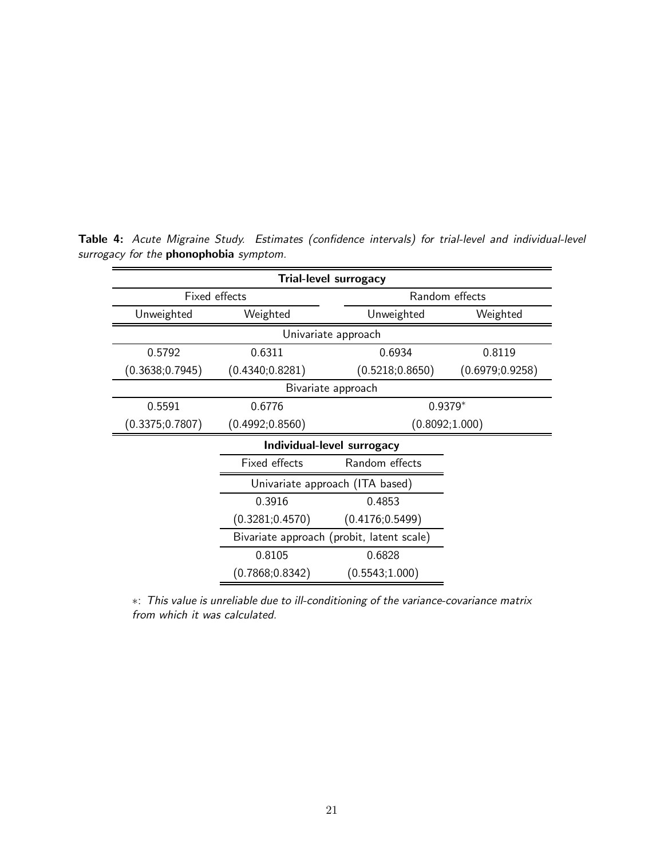| <b>Trial-level surrogacy</b> |                                           |                  |                  |  |  |
|------------------------------|-------------------------------------------|------------------|------------------|--|--|
| Fixed effects                |                                           | Random effects   |                  |  |  |
| Unweighted                   | Weighted                                  | Unweighted       | Weighted         |  |  |
| Univariate approach          |                                           |                  |                  |  |  |
| 0.5792                       | 0.6311                                    | 0.6934           | 0.8119           |  |  |
| (0.3638; 0.7945)             | (0.4340; 0.8281)                          | (0.5218; 0.8650) | (0.6979; 0.9258) |  |  |
| Bivariate approach           |                                           |                  |                  |  |  |
| 0.5591                       | 0.6776                                    | $0.9379*$        |                  |  |  |
| (0.3375; 0.7807)             | (0.4992; 0.8560)                          | (0.8092; 1.000)  |                  |  |  |
| Individual-level surrogacy   |                                           |                  |                  |  |  |
|                              | Fixed effects                             | Random effects   |                  |  |  |
|                              | Univariate approach (ITA based)           |                  |                  |  |  |
|                              | 0.3916                                    | 0.4853           |                  |  |  |
|                              | (0.3281; 0.4570)                          | (0.4176; 0.5499) |                  |  |  |
|                              | Bivariate approach (probit, latent scale) |                  |                  |  |  |
|                              | 0.8105                                    | 0.6828           |                  |  |  |
|                              | (0.7868;0.8342)                           | (0.5543;1.000)   |                  |  |  |

**Table 4:** *Acute Migraine Study. Estimates (confidence intervals) for trial-level and individual-level surrogacy for the* **phonophobia** *symptom.*

 $\equiv$ 

∗: *This value is unreliable due to ill-conditioning of the variance-covariance matrix from which it was calculated.*